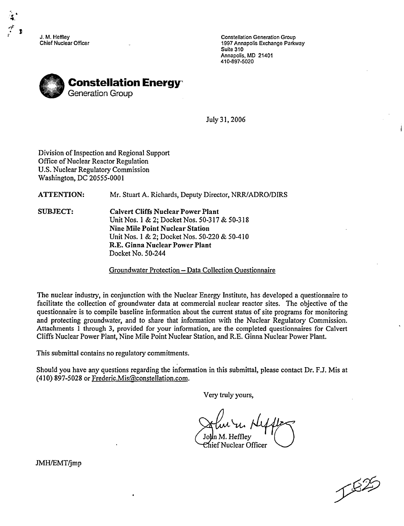J. M. Heffley Chief Nuclear Officer

Constellation Generation Group 1997 Annapolis Exchange Parkway Suite 310 Annapolis, MD 21401 410-897-5020



July 31, 2006

Division of Inspection and Regional Support Office of Nuclear Reactor Regulation U.S. Nuclear Regulatory Commission Washington, DC 20555-0001

ATTENTION: Mr. Stuart A. Richards, Deputy Director, NRR/ADRO/DIRS

**SUBJECT:** Calvert Cliffs Nuclear Power Plant Unit Nos. **I** & 2; Docket Nos. 50-317 & 50-318 Nine Mile Point Nuclear Station Unit Nos. 1 & 2; Docket Nos. 50-220 & 50-410 R.E. Ginna Nuclear Power Plant Docket No. 50-244

Groundwater Protection - Data Collection Questionnaire

The nuclear industry, in conjunction with the Nuclear Energy Institute, has developed a questionnaire to facilitate the collection of groundwater data at commercial nuclear reactor sites. The objective of the questionnaire is to compile baseline information about the current status of site programs for monitoring and protecting groundwater, and to share that information with the Nuclear Regulatory Commission. Attachments **I** through 3, provided for your information, are the completed questionnaires for Calvert Cliffs Nuclear Power Plant, Nine Mile Point Nuclear Station, and R.E. Ginna Nuclear Power Plant.

This submittal contains no regulatory commitments.

Should you have any questions regarding the information in this submittal, please contact Dr. **F.J.** Mis at (410) 897-5028 or Frederic.Mis(@constellation.com.

Very truly yours,

John M. Heffley Chief Nuclear Officer

1825

JMH/EMT/jmp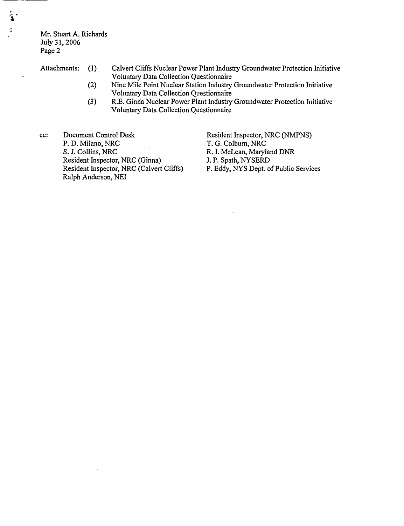Mr. Stuart A. Richards July 31, 2006 Page 2

7

 $\ddot{\phantom{a}}$ 

- Attachments: **(1)** Calvert Cliffs Nuclear Power Plant Industry Groundwater Protection Initiative Voluntary Data Collection Questionnaire
	- (2) Nine Mile Point Nuclear Station Industry Groundwater Protection Initiative Voluntary Data Collection Questionnaire
	- *(3)* R.E. Ginria Nuclear Power Plant Industry Groundwater Protection Initiative Voluntary Data Collection Questionnaire

cc: Document Control Desk P. D. Milano, NRC S. J. Collins, NRC Resident Inspector, NRC (Ginna) Resident Inspector, NRC (Calvert Cliffs) Ralph Anderson, NEI

Resident Inspector, NRC (NMPNS) T. G. Colbum, NRC R. I. McLean, Maryland DNR J. P. Spath, NYSERD P. Eddy, NYS Dept. of Public Services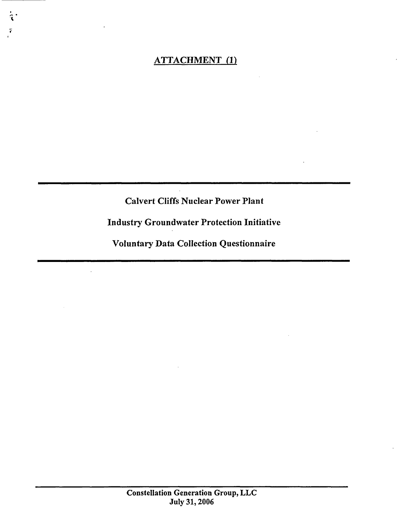## ATTACHMENT (1)

7

Calvert Cliffs Nuclear Power Plant

Industry Groundwater Protection Initiative

Voluntary Data Collection Questionnaire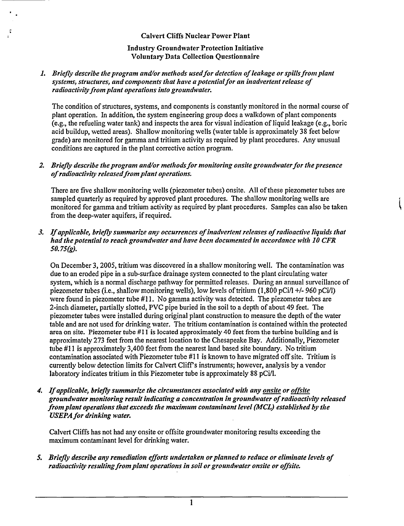## Calvert Cliffs Nuclear Power Plant

## Industry Groundwater Protection Initiative Voluntary Data Collection Questionnaire

#### **1.** *Briefly describe the program and/or methods usedfor detection of leakage or spills from plant systems, structures, and components that have a potential for an inadvertent release of radioactivity from plant operations into groundwater.*

The condition of structures, systems, and components is constantly monitored in the normal course of plant operation. In addition, the system engineering group does a walkdown of plant components (e.g., the refueling water tank) and inspects the area for visual indication of liquid leakage (e.g., boric acid buildup, wetted areas). Shallow monitoring wells (water table is approximately 38 feet below grade) are monitored for gamma and tritium activity as required by plant procedures. Any unusual conditions are captured in the plant corrective action program.

## *2. Briefly describe the program and/or methods for monitoring onsite groundwater for the presence*  $of$  *radioactivity released from plant operations.*

There are five shallow monitoring wells (piezometer tubes) onsite. All of these piezometer tubes are sampled quarterly as required by approved plant procedures. The shallow monitoring wells are monitored for gamma and tritium activity as required by plant procedures. Samples can also be taken from the deep-water aquifers, if required.

## *3. If applicable, briefly summarize any occurrences of inadvertent releases of radioactive liquids that had the potential to reach groundwater and have been documented in accordance with 10 CFR 50.75(g).*

On December 3, 2005, tritium was discovered in a shallow monitoring well. The contamination was due to an eroded pipe in a sub-surface drainage system connected to the plant circulating water system, which is a normal discharge pathway for permitted releases. During an annual surveillance of piezometer tubes (i.e., shallow monitoring wells), low levels of tritium (1,800 pCi/l **+/-** 960 pCi/l) were found in piezometer tube  $#11$ . No gamma activity was detected. The piezometer tubes are 2-inch diameter, partially slotted, PVC pipe buried in the soil to a depth of about 49 feet. The piezometer tubes were installed during original plant construction to measure the depth of the water table and are not used for drinking water. The tritium contamination is contained within the protected area on site. Piezometer tube #11 is located approximately 40 feet from the turbine building and is approximately 273 feet from the nearest location to the Chesapeake Bay. Additionally, Piezometer tube **#11** is approximately 3,400 feet from the nearest land based site boundary. No tritium contamination associated with Piezometer tube #11 is known to have migrated off site. Tritium is currently below detection limits for Calvert Cliff's instruments; however, analysis by a vendor laboratory indicates tritium in this Piezometer tube is approximately 88 pCi/l.

*4. If applicable, briefly summarize the circumstances associated with any onsite or osite groundwater monitoring result indicating a concentration in groundwater of radioactivity released from plant operations that exceeds the maximum contaminant level (MCL) established by the USEPA for drinking water.*

Calvert Cliffs has not had any onsite or offsite groundwater monitoring results exceeding the maximum contaminant level for drinking water.

*5. Briefly describe any remediation efforts undertaken or planned to reduce or eliminate levels of radioactivity resulting from plant operations in soil or groundwater onsite or offsite.*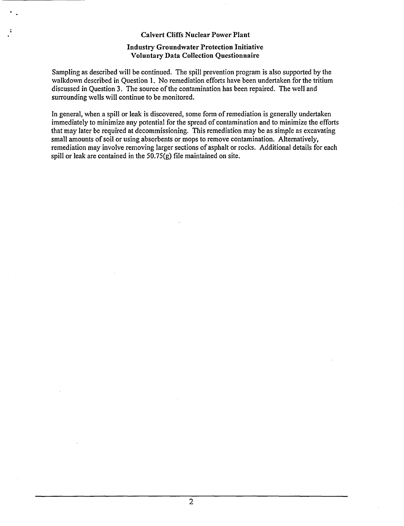#### Calvert Cliffs Nuclear Power Plant

#### Industry Groundwater Protection Initiative Voluntary Data Collection Questionnaire

Sampling as described will be continued. The spill prevention program is also supported by the walkdown described in Question 1. No remediation efforts have been undertaken for the tritium discussed in Question 3. The source of the contamination has been repaired. The well and surrounding wells will continue to be monitored.

In general, when a spill or leak is discovered, some form of remediation is generally undertaken immediately to minimize any potential for the spread of contamination and to minimize the efforts that may later be required at decommissioning. This remediation may be as simple as excavating small amounts of soil or using absorbents or mops to remove contamination. Alternatively, remediation may involve removing larger sections of asphalt or rocks. Additional details for each spill or leak are contained in the 50.75(g) file maintained on site.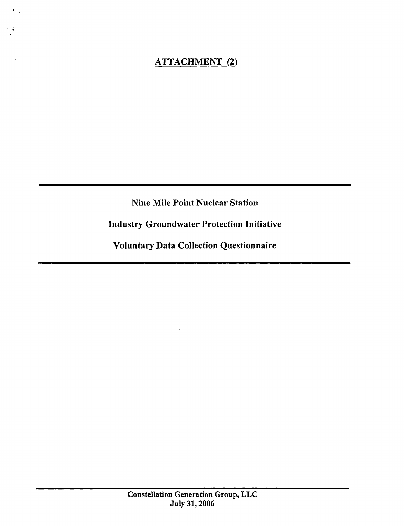# ATTACHMENT (2)

Nine Mile Point Nuclear Station

Industry Groundwater Protection Initiative

Voluntary Data Collection Questionnaire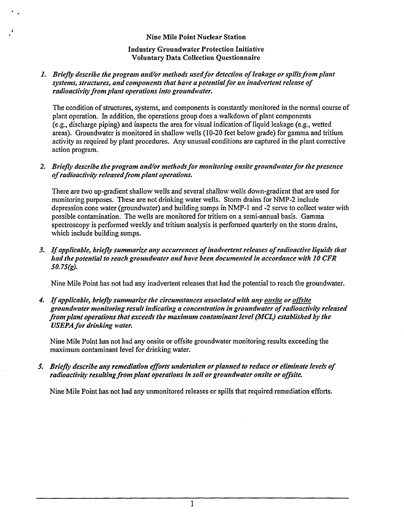#### Nine Mile Point Nuclear Station

#### Industry Groundwater Protection Initiative Voluntary Data Collection Questionnaire

#### 1. *Briefly describe the program and/or methods used for detection of leakage or spills from plant systems, structures, and components that have a potential for an inadvertent release of radioactivity from plant operations into groundwater.*

The condition of structures, systems, and components is constantly monitored in the normal course of plant operation. In addition, the operations group does a walkdown of plant components (e.g., discharge piping) and inspects the area for visual indication of liquid leakage (e.g., wetted areas). Groundwater is monitored in shallow wells (10-20 feet below grade) for gamma and tritium activity as required by plant procedures. Any unusual conditions are captured in the plant corrective action program.

#### 2. Briefly describe the program and/or methods for monitoring onsite groundwater for the presence *of radioactivity released from plant operations.*

There are two up-gradient shallow wells and several shallow wells down-gradient that are used for monitoring purposes. These are not drinking water wells. Storm drains for NMP-2 include depression cone water (groundwater) and building sumps in NMP-1 and -2 serve to collect water with possible contamination. The wells are monitored for tritium on a semi-annual basis. Gamma spectroscopy is performed weekly and tritium analysis is performed quarterly on the storm drains, which include building sumps.

*3. If applicable, briefly summarize any occurrences of inadvertent releases of radioactive liquids that had the potential to reach groundwater and have been documented in accordance with 10 CFR 50.75(g).*

Nine Mile Point has not had any inadvertent releases that had the potential to reach the groundwater.

4. *If applicable, briefly summarize the circumstances associated with any* onsie *or offsite groundwater monitoring result indicating a concentration in groundwater of radioactivity released from plant operations that exceeds the maximum contaminant level (MCL) established by the USEPA for drinking water.*

Nine Mile Point has not had any onsite or offsite groundwater monitoring results exceeding the maximum contaminant level for drinking water.

*5. Briefly describe any remediation efforts undertaken or planned to reduce or eliminate levels of radioactivity resulting from plant operations in soil or groundwater onsite or offsite.*

Nine Mile Point has not had any unmonitored releases or spills that required remediation efforts.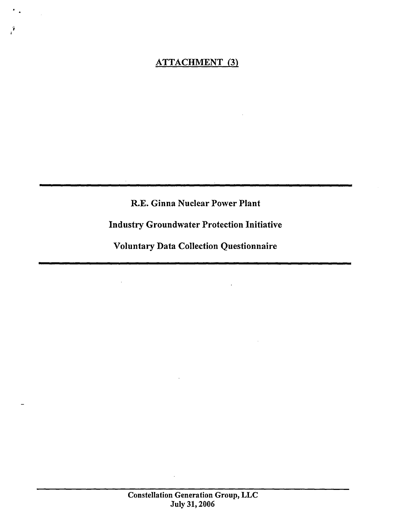# ATTACHMENT (3)

R.E. Ginna Nuclear Power Plant

Industry Groundwater Protection Initiative

Voluntary Data Collection Questionnaire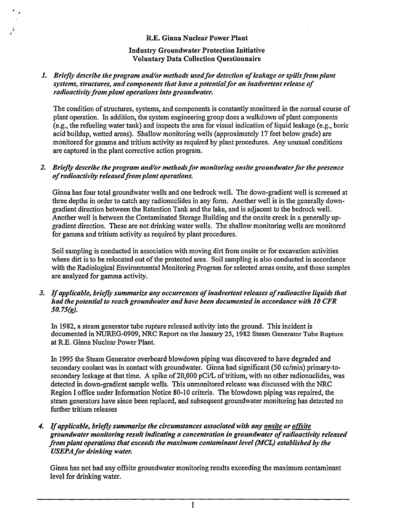#### R.E. Ginna Nuclear Power Plant

#### Industry Groundwater Protection Initiative Voluntary Data Collection Questionnaire

#### **1.** *Briefly describe the program and/or methods usedfor detection of leakage or spills from plant systems, structures, and components that have a potential for an inadvertent release of radioactivity from plant operations into groundwater.*

The condition of structures, systems, and components is constantly monitored in the normal course of plant operation. In addition, the system engineering group does a walkdown of plant components (e.g., the refueling water tank) and inspects the area for visual indication of liquid leakage (e.g., boric acid buildup, wetted areas). Shallow monitoring wells (approximately 17 feet below grade) are monitored for gamma and tritium activity as required by plant procedures. Any unusual conditions are captured in the plant corrective action program.

#### *2. Briefly describe the program and/or methods for monitoring onsite groundwater for the presence of radioactivity releasedfrom plant operations.*

Ginna has four total groundwater wells and one bedrock well. The down-gradient well is screened at three depths in order to catch any radionuclides in any form. Another well is in the generally downgradient direction between the Retention Tank and the lake, and is adjacent to the bedrock well. Another well is between the Contaminated Storage Building and the onsite creek in a generally upgradient direction. These are not drinking water wells. The shallow monitoring wells are monitored for gamma and tritium activity as required by plant procedures.

Soil sampling is conducted in association with moving dirt from onsite or for excavation activities where dirt is to be relocated out of the protected area. Soil sampling is also conducted in accordance with the Radiological Environmental Monitoring Program for selected areas onsite, and those samples are analyzed for gamma activity.

*3. If applicable, briefly summarize any occurrences of inadvertent releases of radioactive liquids that had the potential to reach groundwater and have been documented in accordance with 10 CFR SO. 7s(g).*

In 1982, a steam generator tube rupture released activity into the ground. This incident is documented in NUREG-0909, NRC Report on the January **25,** 1982 Steam Generator Tube Rupture at R.E. Ginna Nuclear Power Plant.

In 1995 the Steam Generator overboard blowdown piping was discovered to have degraded and secondary coolant was in contact with groundwater. Ginna had significant (50 cc/min) primary-tosecondary leakage at that time. A spike of 20,000 pCi/L of tritium, with no other radionuclides, was detected in down-gradient sample wells. This unmonitored release was discussed with the NRC Region I office under Information Notice 80-10 criteria. The blowdown piping was repaired, the steam generators have since been replaced, and subsequent groundwater monitoring has detected no further tritium releases

*4. If applicable, briefly summarize the circumstances associated with any* onsite *or offsite groundwater monitoring result indicating a concentration in groundwater of radioactivity released from plant operations that exceeds the maximum contaminant level (MCL) established by the USEPA for drinking water.*

Ginna has not had any offsite groundwater monitoring results exceeding the maximum contaminant level for drinking water.